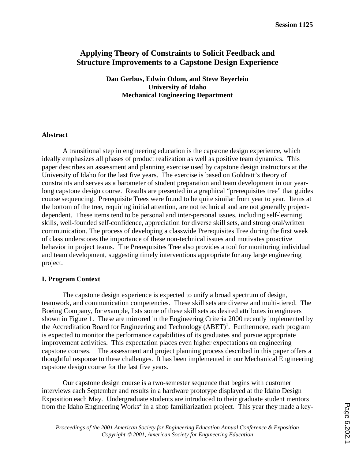## **Applying Theory of Constraints to Solicit Feedback and Structure Improvements to a Capstone Design Experience**

**Dan Gerbus, Edwin Odom, and Steve Beyerlein University of Idaho Mechanical Engineering Department** 

#### **Abstract**

A transitional step in engineering education is the capstone design experience, which ideally emphasizes all phases of product realization as well as positive team dynamics. This paper describes an assessment and planning exercise used by capstone design instructors at the University of Idaho for the last five years. The exercise is based on Goldratt's theory of constraints and serves as a barometer of student preparation and team development in our yearlong capstone design course. Results are presented in a graphical "prerequisites tree" that guides course sequencing. Prerequisite Trees were found to be quite similar from year to year. Items at the bottom of the tree, requiring initial attention, are not technical and are not generally projectdependent. These items tend to be personal and inter-personal issues, including self-learning skills, well-founded self-confidence, appreciation for diverse skill sets, and strong oral/written communication. The process of developing a classwide Prerequisites Tree during the first week of class underscores the importance of these non-technical issues and motivates proactive behavior in project teams. The Prerequisites Tree also provides a tool for monitoring individual and team development, suggesting timely interventions appropriate for any large engineering project.

### **I. Program Context**

The capstone design experience is expected to unify a broad spectrum of design, teamwork, and communication competencies. These skill sets are diverse and multi-tiered. The Boeing Company, for example, lists some of these skill sets as desired attributes in engineers shown in Figure 1. These are mirrored in the Engineering Criteria 2000 recently implemented by the Accreditation Board for Engineering and Technology (ABET)<sup>1</sup>. Furthermore, each program is expected to monitor the performance capabilities of its graduates and pursue appropriate improvement activities. This expectation places even higher expectations on engineering capstone courses. The assessment and project planning process described in this paper offers a thoughtful response to these challenges. It has been implemented in our Mechanical Engineering capstone design course for the last five years.

Our capstone design course is a two-semester sequence that begins with customer interviews each September and results in a hardware prototype displayed at the Idaho Design Exposition each May. Undergraduate students are introduced to their graduate student mentors from the Idaho Engineering Works<sup>2</sup> in a shop familiarization project. This year they made a key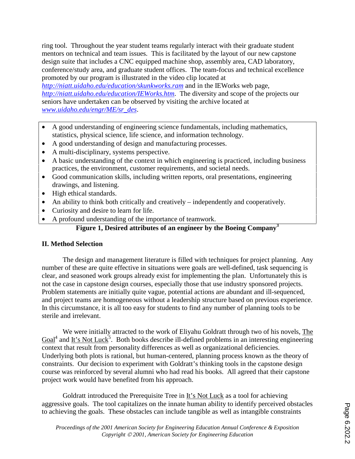ring tool. Throughout the year student teams regularly interact with their graduate student mentors on technical and team issues. This is facilitated by the layout of our new capstone design suite that includes a CNC equipped machine shop, assembly area, CAD laboratory, conference/study area, and graduate student offices. The team-focus and technical excellence promoted by our program is illustrated in the video clip located at

*http://niatt.uidaho.edu/education/skunkworks.ram* and in the IEWorks web page, *http://niatt.uidaho.edu/education/IEWorks.htm*. The diversity and scope of the projects our seniors have undertaken can be observed by visiting the archive located at *www.uidaho.edu/engr/ME/sr\_des*.

- A good understanding of engineering science fundamentals, including mathematics, statistics, physical science, life science, and information technology.
- A good understanding of design and manufacturing processes.
- A multi-disciplinary, systems perspective.
- A basic understanding of the context in which engineering is practiced, including business practices, the environment, customer requirements, and societal needs.
- Good communication skills, including written reports, oral presentations, engineering drawings, and listening.
- High ethical standards.
- An ability to think both critically and creatively independently and cooperatively.
- Curiosity and desire to learn for life.
- A profound understanding of the importance of teamwork.

# **Figure 1, Desired attributes of an engineer by the Boeing Company<sup>3</sup>**

### **II. Method Selection**

The design and management literature is filled with techniques for project planning. Any number of these are quite effective in situations were goals are well-defined, task sequencing is clear, and seasoned work groups already exist for implementing the plan. Unfortunately this is not the case in capstone design courses, especially those that use industry sponsored projects. Problem statements are initially quite vague, potential actions are abundant and ill-sequenced, and project teams are homogeneous without a leadership structure based on previous experience. In this circumstance, it is all too easy for students to find any number of planning tools to be sterile and irrelevant.

We were initially attracted to the work of Eliyahu Goldratt through two of his novels, The  $Goal<sup>4</sup>$  and It's Not Luck<sup>5</sup>. Both books describe ill-defined problems in an interesting engineering context that result from personality differences as well as organizational deficiencies. Underlying both plots is rational, but human-centered, planning process known as the theory of constraints. Our decision to experiment with Goldratt's thinking tools in the capstone design course was reinforced by several alumni who had read his books. All agreed that their capstone project work would have benefited from his approach.

 Goldratt introduced the Prerequisite Tree in It's Not Luck as a tool for achieving aggressive goals. The tool capitalizes on the innate human ability to identify perceived obstacles to achieving the goals. These obstacles can include tangible as well as intangible constraints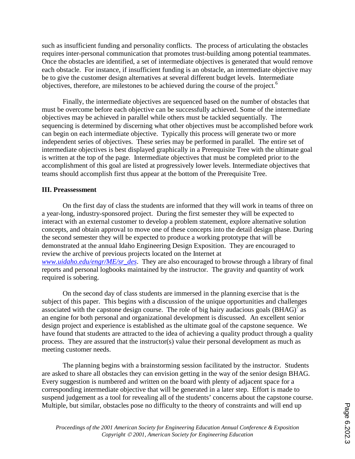such as insufficient funding and personality conflicts. The process of articulating the obstacles requires inter-personal communication that promotes trust-building among potential teammates. Once the obstacles are identified, a set of intermediate objectives is generated that would remove each obstacle. For instance, if insufficient funding is an obstacle, an intermediate objective may be to give the customer design alternatives at several different budget levels. Intermediate objectives, therefore, are milestones to be achieved during the course of the project.<sup>6</sup>

Finally, the intermediate objectives are sequenced based on the number of obstacles that must be overcome before each objective can be successfully achieved. Some of the intermediate objectives may be achieved in parallel while others must be tackled sequentially. The sequencing is determined by discerning what other objectives must be accomplished before work can begin on each intermediate objective. Typically this process will generate two or more independent series of objectives. These series may be performed in parallel. The entire set of intermediate objectives is best displayed graphically in a Prerequisite Tree with the ultimate goal is written at the top of the page. Intermediate objectives that must be completed prior to the accomplishment of this goal are listed at progressively lower levels. Intermediate objectives that teams should accomplish first thus appear at the bottom of the Prerequisite Tree.

### **III. Preassessment**

On the first day of class the students are informed that they will work in teams of three on a year-long, industry-sponsored project. During the first semester they will be expected to interact with an external customer to develop a problem statement, explore alternative solution concepts, and obtain approval to move one of these concepts into the detail design phase. During the second semester they will be expected to produce a working prototype that will be demonstrated at the annual Idaho Engineering Design Exposition. They are encouraged to review the archive of previous projects located on the Internet at *www.uidaho.edu/engr/ME/sr\_des*. They are also encouraged to browse through a library of final reports and personal logbooks maintained by the instructor. The gravity and quantity of work required is sobering.

On the second day of class students are immersed in the planning exercise that is the subject of this paper. This begins with a discussion of the unique opportunities and challenges associated with the capstone design course. The role of big hairy audacious goals  $(BHAG)^{7}$  as an engine for both personal and organizational development is discussed. An excellent senior design project and experience is established as the ultimate goal of the capstone sequence. We have found that students are attracted to the idea of achieving a quality product through a quality process. They are assured that the instructor(s) value their personal development as much as meeting customer needs.

The planning begins with a brainstorming session facilitated by the instructor. Students are asked to share all obstacles they can envision getting in the way of the senior design BHAG. Every suggestion is numbered and written on the board with plenty of adjacent space for a corresponding intermediate objective that will be generated in a later step. Effort is made to suspend judgement as a tool for revealing all of the students' concerns about the capstone course. Multiple, but similar, obstacles pose no difficulty to the theory of constraints and will end up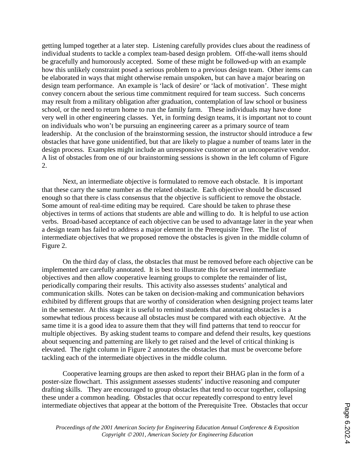getting lumped together at a later step. Listening carefully provides clues about the readiness of individual students to tackle a complex team-based design problem. Off-the-wall items should be gracefully and humorously accepted. Some of these might be followed-up with an example how this unlikely constraint posed a serious problem to a previous design team. Other items can be elaborated in ways that might otherwise remain unspoken, but can have a major bearing on design team performance. An example is 'lack of desire' or 'lack of motivation'. These might convey concern about the serious time commitment required for team success. Such concerns may result from a military obligation after graduation, contemplation of law school or business school, or the need to return home to run the family farm. These individuals may have done very well in other engineering classes. Yet, in forming design teams, it is important not to count on individuals who won't be pursuing an engineering career as a primary source of team leadership. At the conclusion of the brainstorming session, the instructor should introduce a few obstacles that have gone unidentified, but that are likely to plague a number of teams later in the design process. Examples might include an unresponsive customer or an uncooperative vendor. A list of obstacles from one of our brainstorming sessions is shown in the left column of Figure 2.

Next, an intermediate objective is formulated to remove each obstacle. It is important that these carry the same number as the related obstacle. Each objective should be discussed enough so that there is class consensus that the objective is sufficient to remove the obstacle. Some amount of real-time editing may be required. Care should be taken to phrase these objectives in terms of actions that students are able and willing to do. It is helpful to use action verbs. Broad-based acceptance of each objective can be used to advantage later in the year when a design team has failed to address a major element in the Prerequisite Tree. The list of intermediate objectives that we proposed remove the obstacles is given in the middle column of Figure 2.

On the third day of class, the obstacles that must be removed before each objective can be implemented are carefully annotated. It is best to illustrate this for several intermediate objectives and then allow cooperative learning groups to complete the remainder of list, periodically comparing their results. This activity also assesses students' analytical and communication skills. Notes can be taken on decision-making and communication behaviors exhibited by different groups that are worthy of consideration when designing project teams later in the semester. At this stage it is useful to remind students that annotating obstacles is a somewhat tedious process because all obstacles must be compared with each objective. At the same time it is a good idea to assure them that they will find patterns that tend to reoccur for multiple objectives. By asking student teams to compare and defend their results, key questions about sequencing and patterning are likely to get raised and the level of critical thinking is elevated. The right column in Figure 2 annotates the obstacles that must be overcome before tackling each of the intermediate objectives in the middle column.

Cooperative learning groups are then asked to report their BHAG plan in the form of a poster-size flowchart. This assignment assesses students' inductive reasoning and computer drafting skills. They are encouraged to group obstacles that tend to occur together, collapsing these under a common heading. Obstacles that occur repeatedly correspond to entry level intermediate objectives that appear at the bottom of the Prerequisite Tree. Obstacles that occur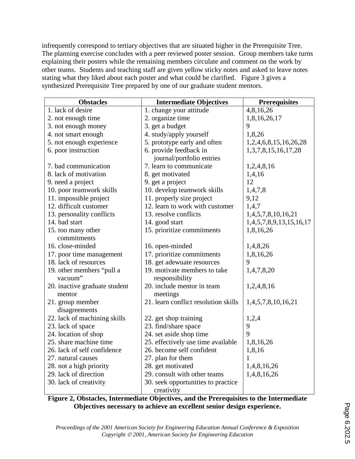infrequently correspond to tertiary objectives that are situated higher in the Prerequisite Tree. The planning exercise concludes with a peer reviewed poster session. Group members take turns explaining their posters while the remaining members circulate and comment on the work by other teams. Students and teaching staff are given yellow sticky notes and asked to leave notes stating what they liked about each poster and what could be clarified. Figure 3 gives a synthesized Prerequisite Tree prepared by one of our graduate student mentors.

| <b>Obstacles</b>              | <b>Intermediate Objectives</b>       | <b>Prerequisites</b>       |
|-------------------------------|--------------------------------------|----------------------------|
| 1. lack of desire             | 1. change your attitude              | 4,8,16,26                  |
| 2. not enough time            | 2. organize time                     | 1,8,16,26,17               |
| 3. not enough money           | 3. get a budget                      | 9                          |
| 4. not smart enough           | 4. study/apply yourself              | 1,8,26                     |
| 5. not enough experience      | 5. prototype early and often         | 1,2,4,6,8,15,16,26,28      |
| 6. poor instruction           | 6. provide feedback in               | 1, 3, 7, 8, 15, 16, 17, 28 |
|                               | journal/portfolio entries            |                            |
| 7. bad communication          | 7. learn to communicate              | 1,2,4,8,16                 |
| 8. lack of motivation         | 8. get motivated                     | 1,4,16                     |
| 9. need a project             | 9. get a project                     | 12                         |
| 10. poor teamwork skills      | 10. develop teamwork skills          | 1,4,7,8                    |
| 11. impossible project        | 11. properly size project            | 9,12                       |
| 12. difficult customer        | 12. learn to work with customer      | 1,4,7                      |
| 13. personality conflicts     | 13. resolve conflicts                | 1,4,5,7,8,10,16,21         |
| 14. bad start                 | 14. good start                       | 1,4,5,7,8,9,13,15,16,17    |
| 15. too many other            | 15. prioritize commitments           | 1,8,16,26                  |
| commitments                   |                                      |                            |
| 16. close-minded              | 16. open-minded                      | 1,4,8,26                   |
| 17. poor time management      | 17. prioritize commitments           | 1,8,16,26                  |
| 18. lack of resources         | 18. get adewuate resources           | 9                          |
| 19. other members "pull a     | 19. motivate members to take         | 1,4,7,8,20                 |
| vacuum"                       | responsibility                       |                            |
| 20. inactive graduate student | 20. include mentor in team           | 1,2,4,8,16                 |
| mentor                        | meetings                             |                            |
| 21. group member              | 21. learn conflict resolution skills | 1,4,5,7,8,10,16,21         |
| disagreements                 |                                      |                            |
| 22. lack of machining skills  | 22. get shop training                | 1,2,4                      |
| 23. lack of space             | 23. find/share space                 | 9                          |
| 24. location of shop          | 24. set aside shop time              | 9                          |
| 25. share machine time        | 25. effectively use time available   | 1,8,16,26                  |
| 26. lack of self confidence   | 26. become self confident            | 1,8,16                     |
| 27. natural causes            | 27. plan for them                    | 1                          |
| 28. not a high priority       | 28. get motivated                    | 1,4,8,16,26                |
| 29. lack of direction         | 29. consult with other teams         | 1,4,8,16,26                |
| 30. lack of creativity        | 30. seek opportunities to practice   |                            |
|                               | creativity                           |                            |

**Figure 2, Obstacles, Intermediate Objectives, and the Prerequisites to the Intermediate Objectives necessary to achieve an excellent senior design experience.**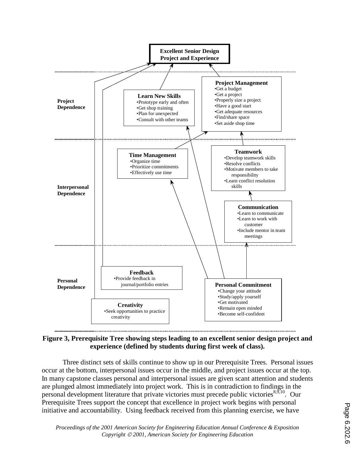

**Figure 3, Prerequisite Tree showing steps leading to an excellent senior design project and experience (defined by students during first week of class).** 

Three distinct sets of skills continue to show up in our Prerequisite Trees. Personal issues occur at the bottom, interpersonal issues occur in the middle, and project issues occur at the top. In many capstone classes personal and interpersonal issues are given scant attention and students are plunged almost immediately into project work. This is in contradiction to findings in the personal development literature that private victories must precede public victories $8,9,10$ . Our Prerequisite Trees support the concept that excellence in project work begins with personal initiative and accountability. Using feedback received from this planning exercise, we have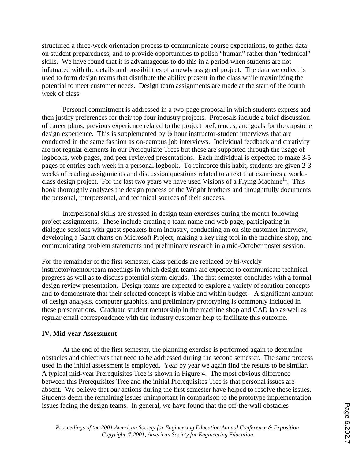structured a three-week orientation process to communicate course expectations, to gather data on student preparedness, and to provide opportunities to polish "human" rather than "technical" skills. We have found that it is advantageous to do this in a period when students are not infatuated with the details and possibilities of a newly assigned project. The data we collect is used to form design teams that distribute the ability present in the class while maximizing the potential to meet customer needs. Design team assignments are made at the start of the fourth week of class.

Personal commitment is addressed in a two-page proposal in which students express and then justify preferences for their top four industry projects. Proposals include a brief discussion of career plans, previous experience related to the project preferences, and goals for the capstone design experience. This is supplemented by ½ hour instructor-student interviews that are conducted in the same fashion as on-campus job interviews. Individual feedback and creativity are not regular elements in our Prerequisite Trees but these are supported through the usage of logbooks, web pages, and peer reviewed presentations. Each individual is expected to make 3-5 pages of entries each week in a personal logbook. To reinforce this habit, students are given 2-3 weeks of reading assignments and discussion questions related to a text that examines a worldclass design project. For the last two years we have used Visions of a Flying Machine<sup>11</sup>. This book thoroughly analyzes the design process of the Wright brothers and thoughtfully documents the personal, interpersonal, and technical sources of their success.

Interpersonal skills are stressed in design team exercises during the month following project assignments. These include creating a team name and web page, participating in dialogue sessions with guest speakers from industry, conducting an on-site customer interview, developing a Gantt charts on Microsoft Project, making a key ring tool in the machine shop, and communicating problem statements and preliminary research in a mid-October poster session.

For the remainder of the first semester, class periods are replaced by bi-weekly instructor/mentor/team meetings in which design teams are expected to communicate technical progress as well as to discuss potential storm clouds. The first semester concludes with a formal design review presentation. Design teams are expected to explore a variety of solution concepts and to demonstrate that their selected concept is viable and within budget. A significant amount of design analysis, computer graphics, and preliminary prototyping is commonly included in these presentations. Graduate student mentorship in the machine shop and CAD lab as well as regular email correspondence with the industry customer help to facilitate this outcome.

### **IV. Mid-year Assessment**

 At the end of the first semester, the planning exercise is performed again to determine obstacles and objectives that need to be addressed during the second semester. The same process used in the initial assessment is employed. Year by year we again find the results to be similar. A typical mid-year Prerequisites Tree is shown in Figure 4. The most obvious difference between this Prerequisites Tree and the initial Prerequisites Tree is that personal issues are absent. We believe that our actions during the first semester have helped to resolve these issues. Students deem the remaining issues unimportant in comparison to the prototype implementation issues facing the design teams. In general, we have found that the off-the-wall obstacles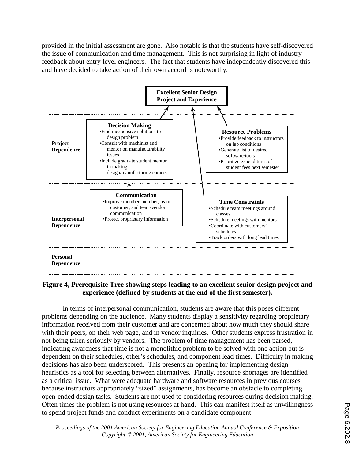provided in the initial assessment are gone. Also notable is that the students have self-discovered the issue of communication and time management. This is not surprising in light of industry feedback about entry-level engineers. The fact that students have independently discovered this and have decided to take action of their own accord is noteworthy.



### **Figure 4, Prerequisite Tree showing steps leading to an excellent senior design project and experience (defined by students at the end of the first semester).**

In terms of interpersonal communication, students are aware that this poses different problems depending on the audience. Many students display a sensitivity regarding proprietary information received from their customer and are concerned about how much they should share with their peers, on their web page, and in vendor inquiries. Other students express frustration in not being taken seriously by vendors. The problem of time management has been parsed, indicating awareness that time is not a monolithic problem to be solved with one action but is dependent on their schedules, other's schedules, and component lead times. Difficulty in making decisions has also been underscored. This presents an opening for implementing design heuristics as a tool for selecting between alternatives. Finally, resource shortages are identified as a critical issue. What were adequate hardware and software resources in previous courses because instructors appropriately "sized" assignments, has become an obstacle to completing open-ended design tasks. Students are not used to considering resources during decision making. Often times the problem is not using resources at hand. This can manifest itself as unwillingness to spend project funds and conduct experiments on a candidate component.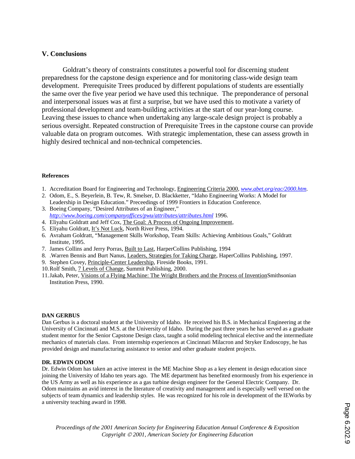#### **V. Conclusions**

 Goldratt's theory of constraints constitutes a powerful tool for discerning student preparedness for the capstone design experience and for monitoring class-wide design team development. Prerequisite Trees produced by different populations of students are essentially the same over the five year period we have used this technique. The preponderance of personal and interpersonal issues was at first a surprise, but we have used this to motivate a variety of professional development and team-building activities at the start of our year-long course. Leaving these issues to chance when undertaking any large-scale design project is probably a serious oversight. Repeated construction of Prerequisite Trees in the capstone course can provide valuable data on program outcomes. With strategic implementation, these can assess growth in highly desired technical and non-technical competencies.

#### **References**

- 1. Accreditation Board for Engineering and Technology, Engineering Criteria 2000, *www.abet.org/eac/2000.htm*.
- 2. Odom, E., S. Beyerlein, B. Tew, R. Smelser, D. Blackketter, "Idaho Engineering Works: A Model for Leadership in Design Education." Preceedings of 1999 Frontiers in Education Conference.
- 3. Boeing Company, "Desired Attributes of an Engineer," *http://www.boeing.com/companyoffices/pwu/attributes/attributes.html* 1996.
- 4. Eliyahu Goldratt and Jeff Cox, The Goal: A Process of Ongoing Improvement,
- 5. Eliyahu Goldratt, It's Not Luck, North River Press, 1994.
- 6. Avraham Goldratt, "Management Skills Workshop, Team Skills: Achieving Ambitious Goals," Goldratt Institute, 1995.
- 7. James Collins and Jerry Porras, Built to Last, HarperCollins Publishing, 1994
- 8. .Warren Bennis and Burt Nanus, Leaders, Strategies for Taking Charge, HaperCollins Publishing, 1997.
- 9. Stephen Covey, Principle-Center Leadership, Fireside Books, 1991.
- 10. Rolf Smith, 7 Levels of Change, Summit Publishing, 2000.
- 11. Jakab, Peter, Visions of a Flying Machine: The Wright Brothers and the Process of InventionSmithsonian Institution Press, 1990.

#### **DAN GERBUS**

Dan Gerbus is a doctoral student at the University of Idaho. He received his B.S. in Mechanical Engineering at the University of Cincinnati and M.S. at the University of Idaho. During the past three years he has served as a graduate student mentor for the Senior Capstone Design class, taught a solid modeling technical elective and the intermediate mechanics of materials class. From internship experiences at Cincinnati Milacron and Stryker Endoscopy, he has provided design and manufacturing assistance to senior and other graduate student projects.

#### **DR. EDWIN ODOM**

Dr. Edwin Odom has taken an active interest in the ME Machine Shop as a key element in design education since joining the University of Idaho ten years ago. The ME department has benefited enormously from his experience in the US Army as well as his experience as a gas turbine design engineer for the General Electric Company. Dr. Odom maintains an avid interest in the literature of creativity and management and is especially well versed on the subjects of team dynamics and leadership styles. He was recognized for his role in development of the IEWorks by a university teaching award in 1998.